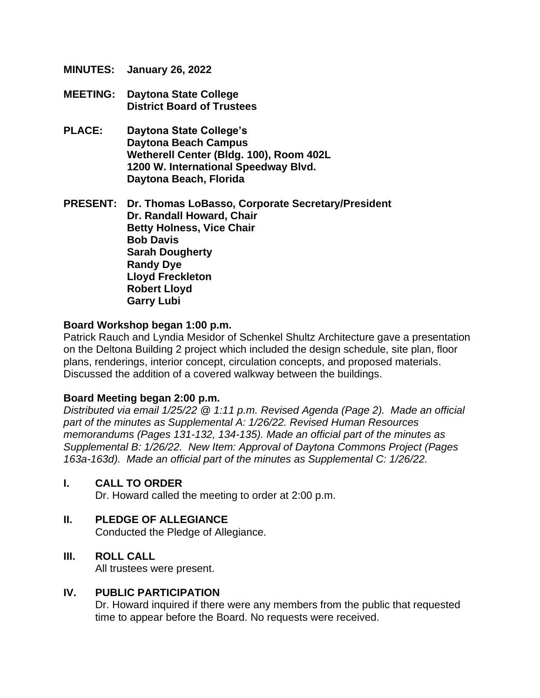- **MINUTES: January 26, 2022**
- **MEETING: Daytona State College District Board of Trustees**
- **PLACE: Daytona State College's Daytona Beach Campus Wetherell Center (Bldg. 100), Room 402L 1200 W. International Speedway Blvd. Daytona Beach, Florida**

**PRESENT: Dr. Thomas LoBasso, Corporate Secretary/President Dr. Randall Howard, Chair Betty Holness, Vice Chair Bob Davis Sarah Dougherty Randy Dye Lloyd Freckleton Robert Lloyd Garry Lubi**

#### **Board Workshop began 1:00 p.m.**

Patrick Rauch and Lyndia Mesidor of Schenkel Shultz Architecture gave a presentation on the Deltona Building 2 project which included the design schedule, site plan, floor plans, renderings, interior concept, circulation concepts, and proposed materials. Discussed the addition of a covered walkway between the buildings.

#### **Board Meeting began 2:00 p.m.**

*Distributed via email 1/25/22 @ 1:11 p.m. Revised Agenda (Page 2). Made an official part of the minutes as Supplemental A: 1/26/22. Revised Human Resources memorandums (Pages 131-132, 134-135). Made an official part of the minutes as Supplemental B: 1/26/22. New Item: Approval of Daytona Commons Project (Pages 163a-163d). Made an official part of the minutes as Supplemental C: 1/26/22.*

#### **I. CALL TO ORDER**

Dr. Howard called the meeting to order at 2:00 p.m.

#### **II. PLEDGE OF ALLEGIANCE**

Conducted the Pledge of Allegiance.

#### **III. ROLL CALL**

All trustees were present.

# **IV. PUBLIC PARTICIPATION**

Dr. Howard inquired if there were any members from the public that requested time to appear before the Board. No requests were received.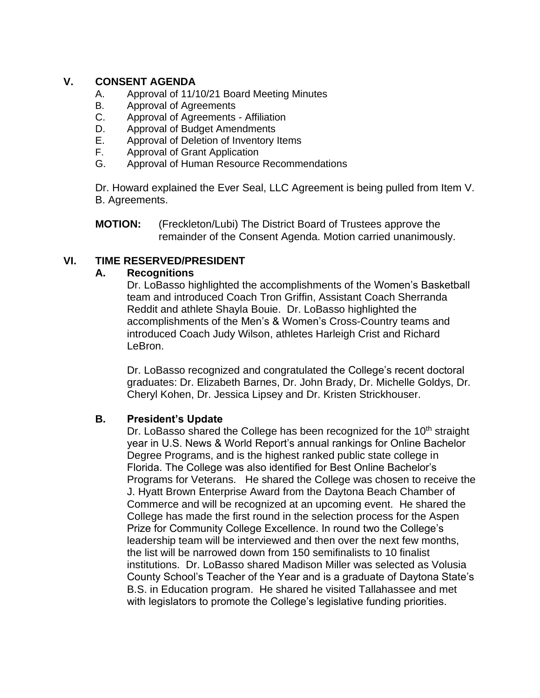### **V. CONSENT AGENDA**

- A. Approval of 11/10/21 Board Meeting Minutes
- B. Approval of Agreements
- C. Approval of Agreements Affiliation
- D. Approval of Budget Amendments
- E. Approval of Deletion of Inventory Items
- F. Approval of Grant Application
- G. Approval of Human Resource Recommendations

Dr. Howard explained the Ever Seal, LLC Agreement is being pulled from Item V. B. Agreements.

**MOTION:** (Freckleton/Lubi) The District Board of Trustees approve the remainder of the Consent Agenda. Motion carried unanimously.

### **VI. TIME RESERVED/PRESIDENT**

#### **A. Recognitions**

Dr. LoBasso highlighted the accomplishments of the Women's Basketball team and introduced Coach Tron Griffin, Assistant Coach Sherranda Reddit and athlete Shayla Bouie. Dr. LoBasso highlighted the accomplishments of the Men's & Women's Cross-Country teams and introduced Coach Judy Wilson, athletes Harleigh Crist and Richard LeBron.

Dr. LoBasso recognized and congratulated the College's recent doctoral graduates: Dr. Elizabeth Barnes, Dr. John Brady, Dr. Michelle Goldys, Dr. Cheryl Kohen, Dr. Jessica Lipsey and Dr. Kristen Strickhouser.

#### **B. President's Update**

Dr. LoBasso shared the College has been recognized for the 10<sup>th</sup> straight year in U.S. News & World Report's annual rankings for Online Bachelor Degree Programs, and is the highest ranked public state college in Florida. The College was also identified for Best Online Bachelor's Programs for Veterans. He shared the College was chosen to receive the J. Hyatt Brown Enterprise Award from the Daytona Beach Chamber of Commerce and will be recognized at an upcoming event. He shared the College has made the first round in the selection process for the Aspen Prize for Community College Excellence. In round two the College's leadership team will be interviewed and then over the next few months, the list will be narrowed down from 150 semifinalists to 10 finalist institutions. Dr. LoBasso shared Madison Miller was selected as Volusia County School's Teacher of the Year and is a graduate of Daytona State's B.S. in Education program. He shared he visited Tallahassee and met with legislators to promote the College's legislative funding priorities.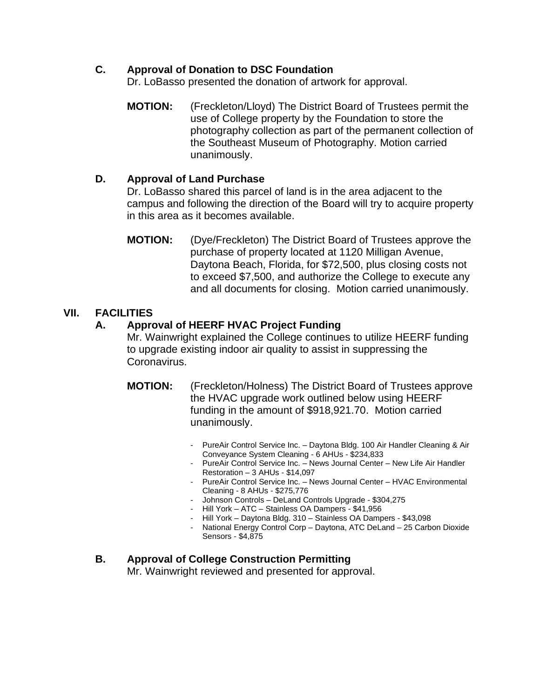## **C. Approval of Donation to DSC Foundation**

Dr. LoBasso presented the donation of artwork for approval.

**MOTION:** (Freckleton/Lloyd) The District Board of Trustees permit the use of College property by the Foundation to store the photography collection as part of the permanent collection of the Southeast Museum of Photography. Motion carried unanimously.

### **D. Approval of Land Purchase**

Dr. LoBasso shared this parcel of land is in the area adjacent to the campus and following the direction of the Board will try to acquire property in this area as it becomes available.

**MOTION:** (Dye/Freckleton) The District Board of Trustees approve the purchase of property located at 1120 Milligan Avenue, Daytona Beach, Florida, for \$72,500, plus closing costs not to exceed \$7,500, and authorize the College to execute any and all documents for closing. Motion carried unanimously.

# **VII. FACILITIES**

### **A. Approval of HEERF HVAC Project Funding**

Mr. Wainwright explained the College continues to utilize HEERF funding to upgrade existing indoor air quality to assist in suppressing the Coronavirus.

- **MOTION:** (Freckleton/Holness) The District Board of Trustees approve the HVAC upgrade work outlined below using HEERF funding in the amount of \$918,921.70. Motion carried unanimously.
	- PureAir Control Service Inc. Daytona Bldg. 100 Air Handler Cleaning & Air Conveyance System Cleaning - 6 AHUs - \$234,833
	- PureAir Control Service Inc. News Journal Center New Life Air Handler Restoration – 3 AHUs - \$14,097
	- PureAir Control Service Inc. News Journal Center HVAC Environmental Cleaning - 8 AHUs - \$275,776
	- Johnson Controls DeLand Controls Upgrade \$304,275
	- Hill York ATC Stainless OA Dampers \$41,956
	- Hill York Daytona Bldg. 310 Stainless OA Dampers \$43,098
	- National Energy Control Corp Daytona, ATC DeLand 25 Carbon Dioxide Sensors - \$4,875

# **B. Approval of College Construction Permitting**

Mr. Wainwright reviewed and presented for approval.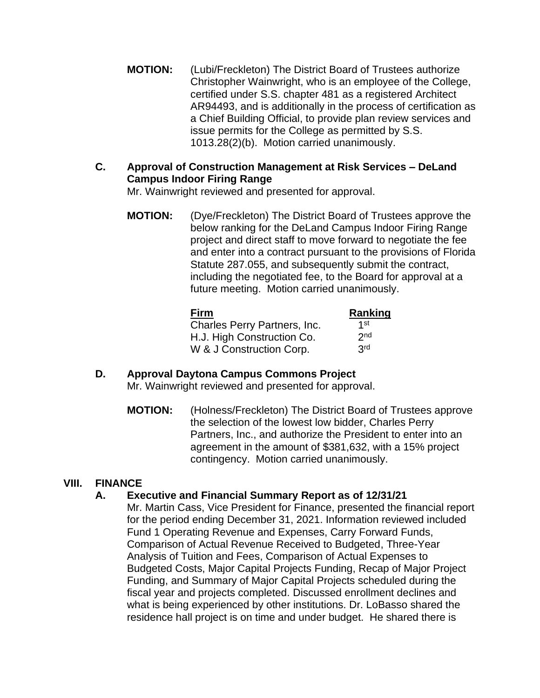- **MOTION:** (Lubi/Freckleton) The District Board of Trustees authorize Christopher Wainwright, who is an employee of the College, certified under S.S. chapter 481 as a registered Architect AR94493, and is additionally in the process of certification as a Chief Building Official, to provide plan review services and issue permits for the College as permitted by S.S. 1013.28(2)(b). Motion carried unanimously.
- **C. Approval of Construction Management at Risk Services – DeLand Campus Indoor Firing Range**

Mr. Wainwright reviewed and presented for approval.

**MOTION:** (Dye/Freckleton) The District Board of Trustees approve the below ranking for the DeLand Campus Indoor Firing Range project and direct staff to move forward to negotiate the fee and enter into a contract pursuant to the provisions of Florida Statute 287.055, and subsequently submit the contract, including the negotiated fee, to the Board for approval at a future meeting. Motion carried unanimously.

| <b>Firm</b>                  | Ranking         |
|------------------------------|-----------------|
| Charles Perry Partners, Inc. | 1st             |
| H.J. High Construction Co.   | 2 <sub>nd</sub> |
| W & J Construction Corp.     | 3 <sup>rd</sup> |

#### **D. Approval Daytona Campus Commons Project** Mr. Wainwright reviewed and presented for approval.

**MOTION:** (Holness/Freckleton) The District Board of Trustees approve the selection of the lowest low bidder, Charles Perry Partners, Inc., and authorize the President to enter into an agreement in the amount of \$381,632, with a 15% project contingency. Motion carried unanimously.

# **VIII. FINANCE**

#### **A. Executive and Financial Summary Report as of 12/31/21**

Mr. Martin Cass, Vice President for Finance, presented the financial report for the period ending December 31, 2021. Information reviewed included Fund 1 Operating Revenue and Expenses, Carry Forward Funds, Comparison of Actual Revenue Received to Budgeted, Three-Year Analysis of Tuition and Fees, Comparison of Actual Expenses to Budgeted Costs, Major Capital Projects Funding, Recap of Major Project Funding, and Summary of Major Capital Projects scheduled during the fiscal year and projects completed. Discussed enrollment declines and what is being experienced by other institutions. Dr. LoBasso shared the residence hall project is on time and under budget. He shared there is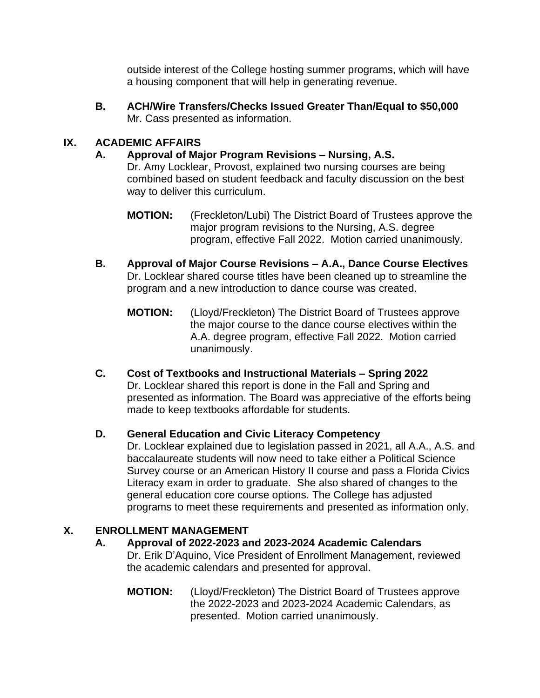outside interest of the College hosting summer programs, which will have a housing component that will help in generating revenue.

**B. ACH/Wire Transfers/Checks Issued Greater Than/Equal to \$50,000**  Mr. Cass presented as information.

# **IX. ACADEMIC AFFAIRS**

## **A. Approval of Major Program Revisions – Nursing, A.S.**

Dr. Amy Locklear, Provost, explained two nursing courses are being combined based on student feedback and faculty discussion on the best way to deliver this curriculum.

- **MOTION:** (Freckleton/Lubi) The District Board of Trustees approve the major program revisions to the Nursing, A.S. degree program, effective Fall 2022. Motion carried unanimously.
- **B. Approval of Major Course Revisions – A.A., Dance Course Electives** Dr. Locklear shared course titles have been cleaned up to streamline the program and a new introduction to dance course was created.
	- **MOTION:** (Lloyd/Freckleton) The District Board of Trustees approve the major course to the dance course electives within the A.A. degree program, effective Fall 2022. Motion carried unanimously.
- **C. Cost of Textbooks and Instructional Materials – Spring 2022** Dr. Locklear shared this report is done in the Fall and Spring and presented as information. The Board was appreciative of the efforts being made to keep textbooks affordable for students.

# **D. General Education and Civic Literacy Competency**

Dr. Locklear explained due to legislation passed in 2021, all A.A., A.S. and baccalaureate students will now need to take either a Political Science Survey course or an American History II course and pass a Florida Civics Literacy exam in order to graduate. She also shared of changes to the general education core course options. The College has adjusted programs to meet these requirements and presented as information only.

# **X. ENROLLMENT MANAGEMENT**

# **A. Approval of 2022-2023 and 2023-2024 Academic Calendars**

Dr. Erik D'Aquino, Vice President of Enrollment Management, reviewed the academic calendars and presented for approval.

**MOTION:** (Lloyd/Freckleton) The District Board of Trustees approve the 2022-2023 and 2023-2024 Academic Calendars, as presented. Motion carried unanimously.